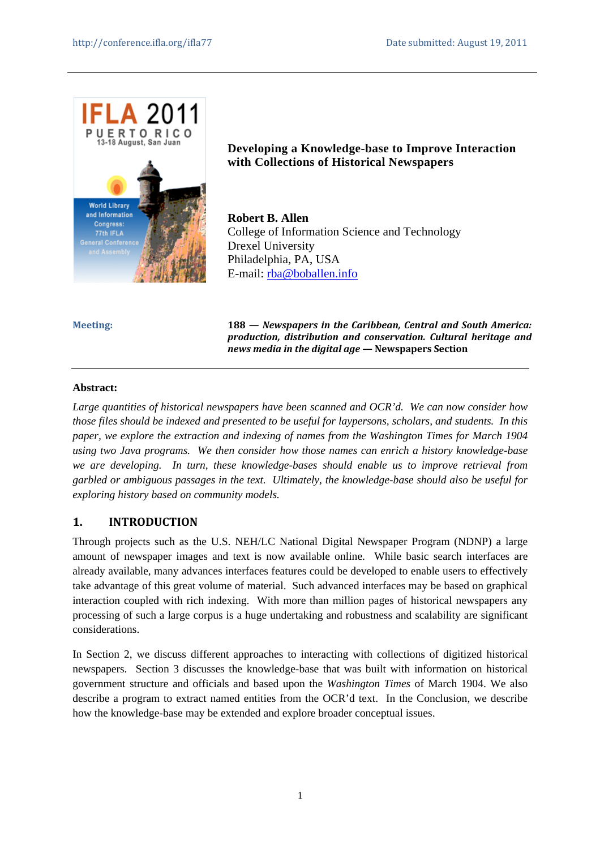

**Developing a Knowledge-base to Improve Interaction with Collections of Historical Newspapers** 

**Robert B. Allen**  College of Information Science and Technology Drexel University Philadelphia, PA, USA E-mail: rba@boballen.info

**Meeting: 188 —** *Newspapers in the Caribbean, Central and South America: production, distribution and conservation. Cultural heritage and news media in the digital age* **— Newspapers Section** 

#### **Abstract:**

*Large quantities of historical newspapers have been scanned and OCR'd. We can now consider how those files should be indexed and presented to be useful for laypersons, scholars, and students. In this paper, we explore the extraction and indexing of names from the Washington Times for March 1904 using two Java programs. We then consider how those names can enrich a history knowledge-base we are developing. In turn, these knowledge-bases should enable us to improve retrieval from garbled or ambiguous passages in the text. Ultimately, the knowledge-base should also be useful for exploring history based on community models.* 

# **1. INTRODUCTION**

Through projects such as the U.S. NEH/LC National Digital Newspaper Program (NDNP) a large amount of newspaper images and text is now available online. While basic search interfaces are already available, many advances interfaces features could be developed to enable users to effectively take advantage of this great volume of material. Such advanced interfaces may be based on graphical interaction coupled with rich indexing. With more than million pages of historical newspapers any processing of such a large corpus is a huge undertaking and robustness and scalability are significant considerations.

In Section 2, we discuss different approaches to interacting with collections of digitized historical newspapers. Section 3 discusses the knowledge-base that was built with information on historical government structure and officials and based upon the *Washington Times* of March 1904. We also describe a program to extract named entities from the OCR'd text. In the Conclusion, we describe how the knowledge-base may be extended and explore broader conceptual issues.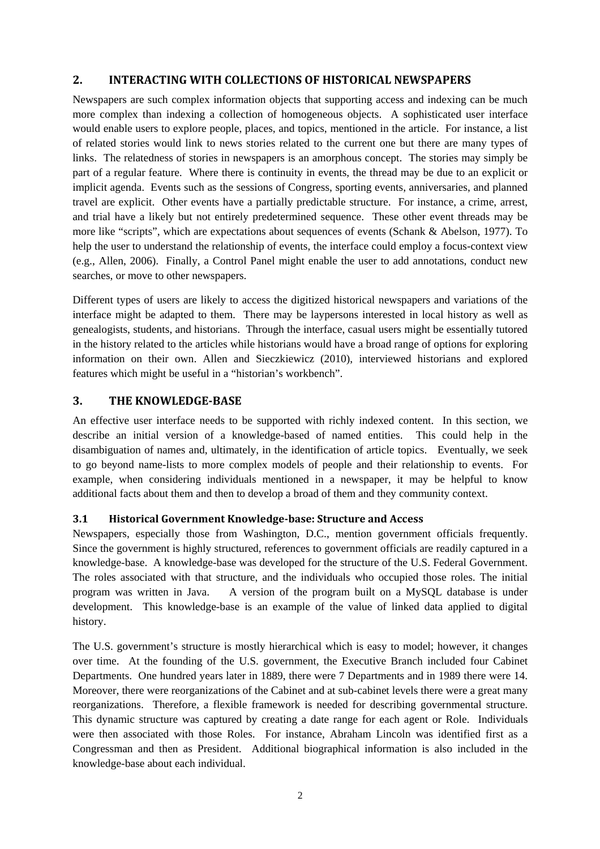## **2. INTERACTING WITH COLLECTIONS OF HISTORICAL NEWSPAPERS**

Newspapers are such complex information objects that supporting access and indexing can be much more complex than indexing a collection of homogeneous objects. A sophisticated user interface would enable users to explore people, places, and topics, mentioned in the article. For instance, a list of related stories would link to news stories related to the current one but there are many types of links. The relatedness of stories in newspapers is an amorphous concept. The stories may simply be part of a regular feature. Where there is continuity in events, the thread may be due to an explicit or implicit agenda. Events such as the sessions of Congress, sporting events, anniversaries, and planned travel are explicit. Other events have a partially predictable structure. For instance, a crime, arrest, and trial have a likely but not entirely predetermined sequence. These other event threads may be more like "scripts", which are expectations about sequences of events (Schank & Abelson, 1977). To help the user to understand the relationship of events, the interface could employ a focus-context view (e.g., Allen, 2006). Finally, a Control Panel might enable the user to add annotations, conduct new searches, or move to other newspapers.

Different types of users are likely to access the digitized historical newspapers and variations of the interface might be adapted to them. There may be laypersons interested in local history as well as genealogists, students, and historians. Through the interface, casual users might be essentially tutored in the history related to the articles while historians would have a broad range of options for exploring information on their own. Allen and Sieczkiewicz (2010), interviewed historians and explored features which might be useful in a "historian's workbench".

## **3. THE KNOWLEDGE-BASE**

An effective user interface needs to be supported with richly indexed content. In this section, we describe an initial version of a knowledge-based of named entities. This could help in the disambiguation of names and, ultimately, in the identification of article topics. Eventually, we seek to go beyond name-lists to more complex models of people and their relationship to events. For example, when considering individuals mentioned in a newspaper, it may be helpful to know additional facts about them and then to develop a broad of them and they community context.

#### **3.1 Historical Government Knowledge-base: Structure and Access**

Newspapers, especially those from Washington, D.C., mention government officials frequently. Since the government is highly structured, references to government officials are readily captured in a knowledge-base. A knowledge-base was developed for the structure of the U.S. Federal Government. The roles associated with that structure, and the individuals who occupied those roles. The initial program was written in Java. A version of the program built on a MySQL database is under development. This knowledge-base is an example of the value of linked data applied to digital history.

The U.S. government's structure is mostly hierarchical which is easy to model; however, it changes over time. At the founding of the U.S. government, the Executive Branch included four Cabinet Departments. One hundred years later in 1889, there were 7 Departments and in 1989 there were 14. Moreover, there were reorganizations of the Cabinet and at sub-cabinet levels there were a great many reorganizations. Therefore, a flexible framework is needed for describing governmental structure. This dynamic structure was captured by creating a date range for each agent or Role. Individuals were then associated with those Roles. For instance, Abraham Lincoln was identified first as a Congressman and then as President. Additional biographical information is also included in the knowledge-base about each individual.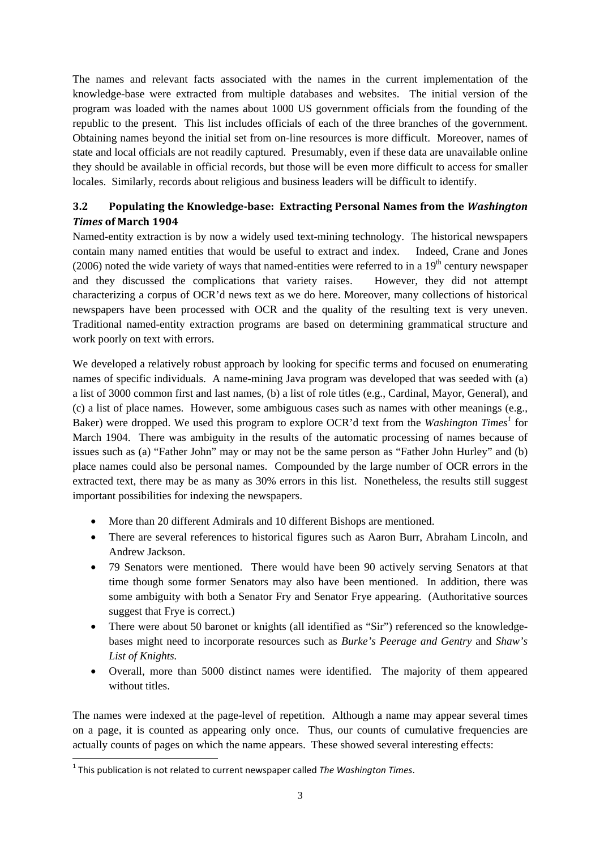The names and relevant facts associated with the names in the current implementation of the knowledge-base were extracted from multiple databases and websites. The initial version of the program was loaded with the names about 1000 US government officials from the founding of the republic to the present. This list includes officials of each of the three branches of the government. Obtaining names beyond the initial set from on-line resources is more difficult. Moreover, names of state and local officials are not readily captured. Presumably, even if these data are unavailable online they should be available in official records, but those will be even more difficult to access for smaller locales. Similarly, records about religious and business leaders will be difficult to identify.

# **3.2 Populating the Knowledge-base: Extracting Personal Names from the** *Washington Times* **of March 1904**

Named-entity extraction is by now a widely used text-mining technology. The historical newspapers contain many named entities that would be useful to extract and index. Indeed, Crane and Jones (2006) noted the wide variety of ways that named-entities were referred to in a  $19<sup>th</sup>$  century newspaper and they discussed the complications that variety raises. However, they did not attempt characterizing a corpus of OCR'd news text as we do here. Moreover, many collections of historical newspapers have been processed with OCR and the quality of the resulting text is very uneven. Traditional named-entity extraction programs are based on determining grammatical structure and work poorly on text with errors.

We developed a relatively robust approach by looking for specific terms and focused on enumerating names of specific individuals. A name-mining Java program was developed that was seeded with (a) a list of 3000 common first and last names, (b) a list of role titles (e.g., Cardinal, Mayor, General), and (c) a list of place names. However, some ambiguous cases such as names with other meanings (e.g., Baker) were dropped. We used this program to explore OCR'd text from the *Washington Times<sup>1</sup>* for March 1904. There was ambiguity in the results of the automatic processing of names because of issues such as (a) "Father John" may or may not be the same person as "Father John Hurley" and (b) place names could also be personal names. Compounded by the large number of OCR errors in the extracted text, there may be as many as 30% errors in this list. Nonetheless, the results still suggest important possibilities for indexing the newspapers.

- More than 20 different Admirals and 10 different Bishops are mentioned.
- There are several references to historical figures such as Aaron Burr, Abraham Lincoln, and Andrew Jackson.
- 79 Senators were mentioned. There would have been 90 actively serving Senators at that time though some former Senators may also have been mentioned. In addition, there was some ambiguity with both a Senator Fry and Senator Frye appearing. (Authoritative sources suggest that Frye is correct.)
- There were about 50 baronet or knights (all identified as "Sir") referenced so the knowledgebases might need to incorporate resources such as *Burke's Peerage and Gentry* and *Shaw's List of Knights.*
- Overall, more than 5000 distinct names were identified. The majority of them appeared without titles.

The names were indexed at the page-level of repetition. Although a name may appear several times on a page, it is counted as appearing only once. Thus, our counts of cumulative frequencies are actually counts of pages on which the name appears. These showed several interesting effects:

 $\overline{\phantom{a}}$ 

<sup>1</sup> This publication is not related to current newspaper called *The Washington Times*.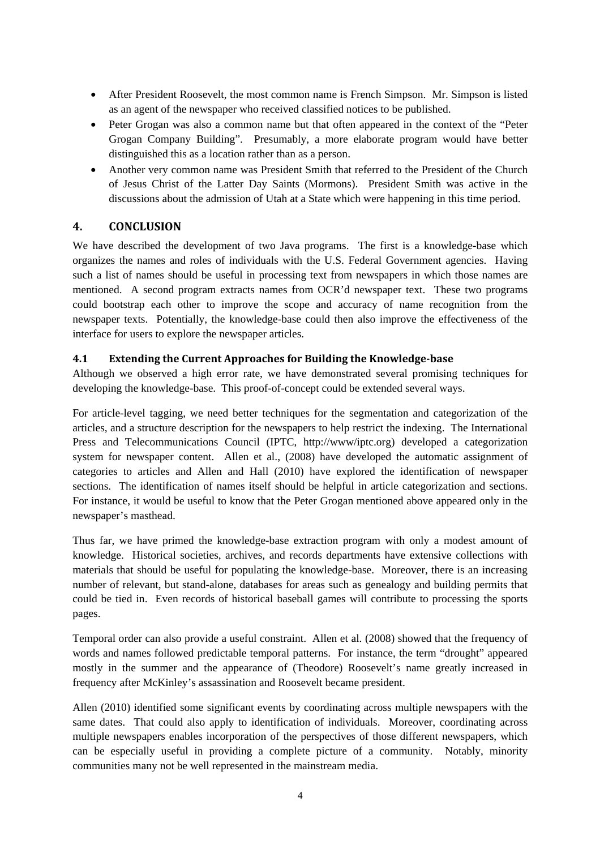- After President Roosevelt, the most common name is French Simpson. Mr. Simpson is listed as an agent of the newspaper who received classified notices to be published.
- Peter Grogan was also a common name but that often appeared in the context of the "Peter" Grogan Company Building". Presumably, a more elaborate program would have better distinguished this as a location rather than as a person.
- Another very common name was President Smith that referred to the President of the Church of Jesus Christ of the Latter Day Saints (Mormons). President Smith was active in the discussions about the admission of Utah at a State which were happening in this time period.

# **4. CONCLUSION**

We have described the development of two Java programs. The first is a knowledge-base which organizes the names and roles of individuals with the U.S. Federal Government agencies. Having such a list of names should be useful in processing text from newspapers in which those names are mentioned. A second program extracts names from OCR'd newspaper text. These two programs could bootstrap each other to improve the scope and accuracy of name recognition from the newspaper texts. Potentially, the knowledge-base could then also improve the effectiveness of the interface for users to explore the newspaper articles.

## **4.1 Extending the Current Approaches for Building the Knowledge-base**

Although we observed a high error rate, we have demonstrated several promising techniques for developing the knowledge-base. This proof-of-concept could be extended several ways.

For article-level tagging, we need better techniques for the segmentation and categorization of the articles, and a structure description for the newspapers to help restrict the indexing. The International Press and Telecommunications Council (IPTC, http://www/iptc.org) developed a categorization system for newspaper content. Allen et al., (2008) have developed the automatic assignment of categories to articles and Allen and Hall (2010) have explored the identification of newspaper sections. The identification of names itself should be helpful in article categorization and sections. For instance, it would be useful to know that the Peter Grogan mentioned above appeared only in the newspaper's masthead.

Thus far, we have primed the knowledge-base extraction program with only a modest amount of knowledge. Historical societies, archives, and records departments have extensive collections with materials that should be useful for populating the knowledge-base. Moreover, there is an increasing number of relevant, but stand-alone, databases for areas such as genealogy and building permits that could be tied in. Even records of historical baseball games will contribute to processing the sports pages.

Temporal order can also provide a useful constraint. Allen et al. (2008) showed that the frequency of words and names followed predictable temporal patterns. For instance, the term "drought" appeared mostly in the summer and the appearance of (Theodore) Roosevelt's name greatly increased in frequency after McKinley's assassination and Roosevelt became president.

Allen (2010) identified some significant events by coordinating across multiple newspapers with the same dates. That could also apply to identification of individuals. Moreover, coordinating across multiple newspapers enables incorporation of the perspectives of those different newspapers, which can be especially useful in providing a complete picture of a community. Notably, minority communities many not be well represented in the mainstream media.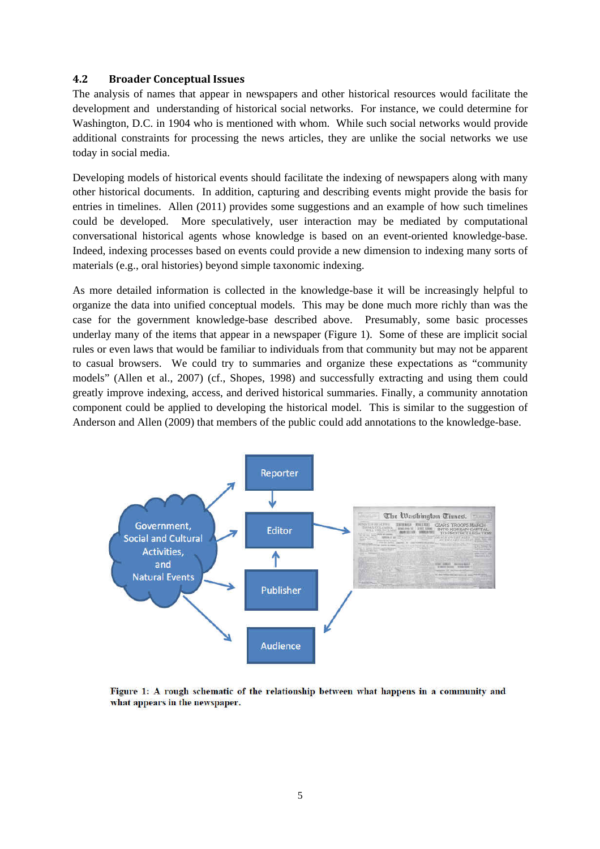#### **4.2 Broader Conceptual Issues**

The analysis of names that appear in newspapers and other historical resources would facilitate the development and understanding of historical social networks. For instance, we could determine for Washington, D.C. in 1904 who is mentioned with whom. While such social networks would provide additional constraints for processing the news articles, they are unlike the social networks we use today in social media.

Developing models of historical events should facilitate the indexing of newspapers along with many other historical documents. In addition, capturing and describing events might provide the basis for entries in timelines. Allen (2011) provides some suggestions and an example of how such timelines could be developed. More speculatively, user interaction may be mediated by computational conversational historical agents whose knowledge is based on an event-oriented knowledge-base. Indeed, indexing processes based on events could provide a new dimension to indexing many sorts of materials (e.g., oral histories) beyond simple taxonomic indexing.

As more detailed information is collected in the knowledge-base it will be increasingly helpful to organize the data into unified conceptual models. This may be done much more richly than was the case for the government knowledge-base described above. Presumably, some basic processes underlay many of the items that appear in a newspaper (Figure 1). Some of these are implicit social rules or even laws that would be familiar to individuals from that community but may not be apparent to casual browsers. We could try to summaries and organize these expectations as "community models" (Allen et al., 2007) (cf., Shopes, 1998) and successfully extracting and using them could greatly improve indexing, access, and derived historical summaries. Finally, a community annotation component could be applied to developing the historical model. This is similar to the suggestion of Anderson and Allen (2009) that members of the public could add annotations to the knowledge-base.



Figure 1: A rough schematic of the relationship between what happens in a community and what appears in the newspaper.